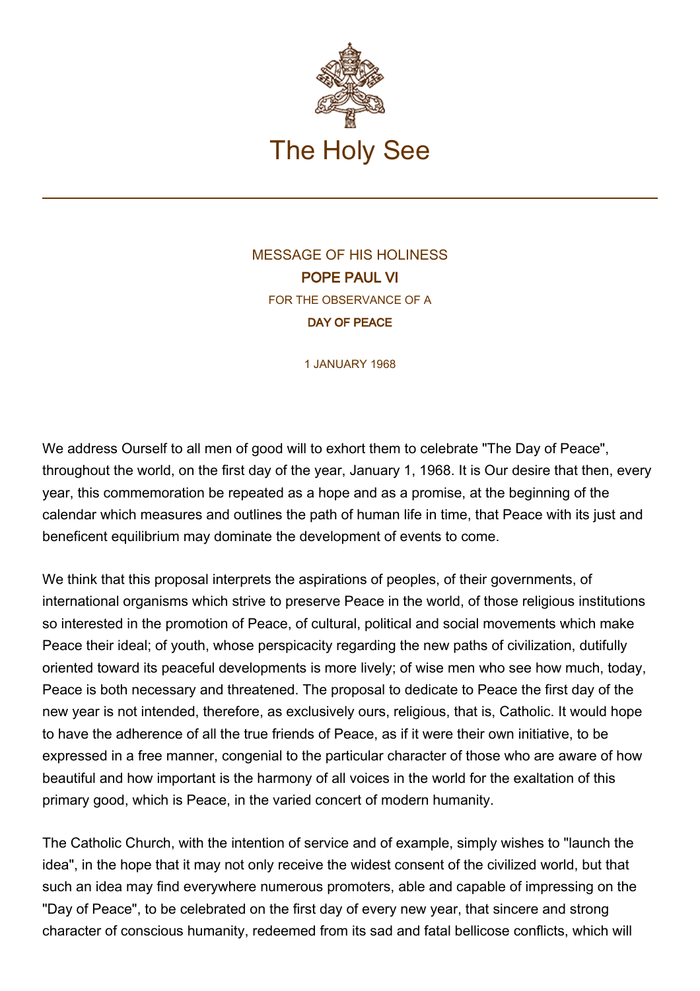

## MESSAGE OF HIS HOLINESS POPE PAUL VI FOR THE OBSERVANCE OF A DAY OF PEACE

1 JANUARY 1968

We address Ourself to all men of good will to exhort them to celebrate "The Day of Peace", throughout the world, on the first day of the year, January 1, 1968. It is Our desire that then, every year, this commemoration be repeated as a hope and as a promise, at the beginning of the calendar which measures and outlines the path of human life in time, that Peace with its just and beneficent equilibrium may dominate the development of events to come.

We think that this proposal interprets the aspirations of peoples, of their governments, of international organisms which strive to preserve Peace in the world, of those religious institutions so interested in the promotion of Peace, of cultural, political and social movements which make Peace their ideal; of youth, whose perspicacity regarding the new paths of civilization, dutifully oriented toward its peaceful developments is more lively; of wise men who see how much, today, Peace is both necessary and threatened. The proposal to dedicate to Peace the first day of the new year is not intended, therefore, as exclusively ours, religious, that is, Catholic. It would hope to have the adherence of all the true friends of Peace, as if it were their own initiative, to be expressed in a free manner, congenial to the particular character of those who are aware of how beautiful and how important is the harmony of all voices in the world for the exaltation of this primary good, which is Peace, in the varied concert of modern humanity.

The Catholic Church, with the intention of service and of example, simply wishes to "launch the idea", in the hope that it may not only receive the widest consent of the civilized world, but that such an idea may find everywhere numerous promoters, able and capable of impressing on the "Day of Peace", to be celebrated on the first day of every new year, that sincere and strong character of conscious humanity, redeemed from its sad and fatal bellicose conflicts, which will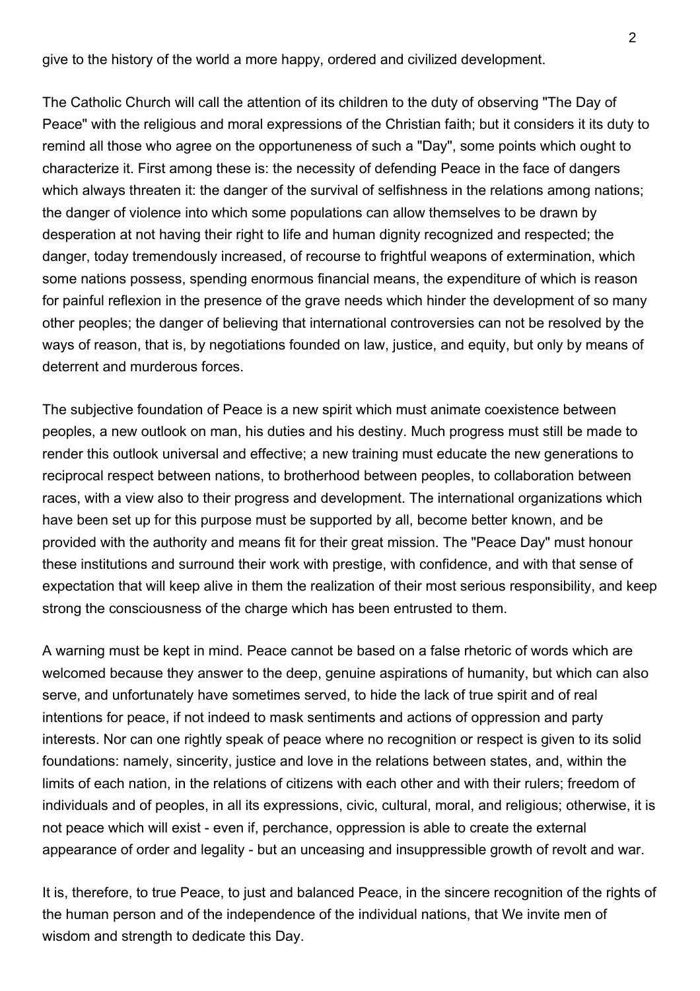give to the history of the world a more happy, ordered and civilized development.

The Catholic Church will call the attention of its children to the duty of observing "The Day of Peace" with the religious and moral expressions of the Christian faith; but it considers it its duty to remind all those who agree on the opportuneness of such a "Day", some points which ought to characterize it. First among these is: the necessity of defending Peace in the face of dangers which always threaten it: the danger of the survival of selfishness in the relations among nations; the danger of violence into which some populations can allow themselves to be drawn by desperation at not having their right to life and human dignity recognized and respected; the danger, today tremendously increased, of recourse to frightful weapons of extermination, which some nations possess, spending enormous financial means, the expenditure of which is reason for painful reflexion in the presence of the grave needs which hinder the development of so many other peoples; the danger of believing that international controversies can not be resolved by the ways of reason, that is, by negotiations founded on law, justice, and equity, but only by means of deterrent and murderous forces.

The subjective foundation of Peace is a new spirit which must animate coexistence between peoples, a new outlook on man, his duties and his destiny. Much progress must still be made to render this outlook universal and effective; a new training must educate the new generations to reciprocal respect between nations, to brotherhood between peoples, to collaboration between races, with a view also to their progress and development. The international organizations which have been set up for this purpose must be supported by all, become better known, and be provided with the authority and means fit for their great mission. The "Peace Day" must honour these institutions and surround their work with prestige, with confidence, and with that sense of expectation that will keep alive in them the realization of their most serious responsibility, and keep strong the consciousness of the charge which has been entrusted to them.

A warning must be kept in mind. Peace cannot be based on a false rhetoric of words which are welcomed because they answer to the deep, genuine aspirations of humanity, but which can also serve, and unfortunately have sometimes served, to hide the lack of true spirit and of real intentions for peace, if not indeed to mask sentiments and actions of oppression and party interests. Nor can one rightly speak of peace where no recognition or respect is given to its solid foundations: namely, sincerity, justice and love in the relations between states, and, within the limits of each nation, in the relations of citizens with each other and with their rulers; freedom of individuals and of peoples, in all its expressions, civic, cultural, moral, and religious; otherwise, it is not peace which will exist - even if, perchance, oppression is able to create the external appearance of order and legality - but an unceasing and insuppressible growth of revolt and war.

It is, therefore, to true Peace, to just and balanced Peace, in the sincere recognition of the rights of the human person and of the independence of the individual nations, that We invite men of wisdom and strength to dedicate this Day.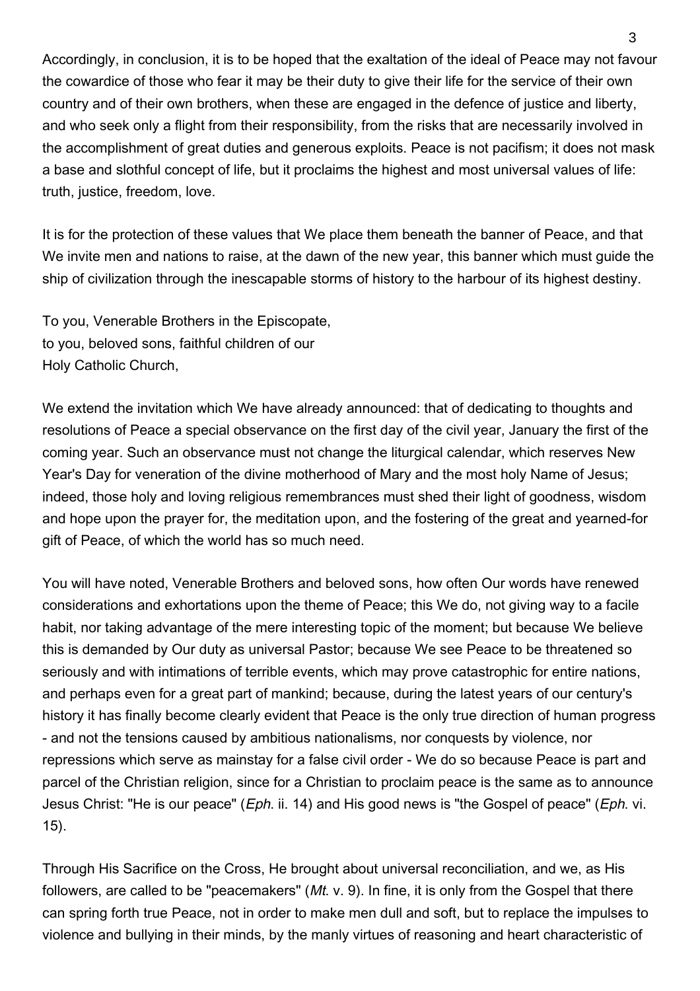Accordingly, in conclusion, it is to be hoped that the exaltation of the ideal of Peace may not favour the cowardice of those who fear it may be their duty to give their life for the service of their own country and of their own brothers, when these are engaged in the defence of justice and liberty, and who seek only a flight from their responsibility, from the risks that are necessarily involved in the accomplishment of great duties and generous exploits. Peace is not pacifism; it does not mask a base and slothful concept of life, but it proclaims the highest and most universal values of life: truth, justice, freedom, love.

It is for the protection of these values that We place them beneath the banner of Peace, and that We invite men and nations to raise, at the dawn of the new year, this banner which must guide the ship of civilization through the inescapable storms of history to the harbour of its highest destiny.

To you, Venerable Brothers in the Episcopate, to you, beloved sons, faithful children of our Holy Catholic Church,

We extend the invitation which We have already announced: that of dedicating to thoughts and resolutions of Peace a special observance on the first day of the civil year, January the first of the coming year. Such an observance must not change the liturgical calendar, which reserves New Year's Day for veneration of the divine motherhood of Mary and the most holy Name of Jesus; indeed, those holy and loving religious remembrances must shed their light of goodness, wisdom and hope upon the prayer for, the meditation upon, and the fostering of the great and yearned-for gift of Peace, of which the world has so much need.

You will have noted, Venerable Brothers and beloved sons, how often Our words have renewed considerations and exhortations upon the theme of Peace; this We do, not giving way to a facile habit, nor taking advantage of the mere interesting topic of the moment; but because We believe this is demanded by Our duty as universal Pastor; because We see Peace to be threatened so seriously and with intimations of terrible events, which may prove catastrophic for entire nations, and perhaps even for a great part of mankind; because, during the latest years of our century's history it has finally become clearly evident that Peace is the only true direction of human progress - and not the tensions caused by ambitious nationalisms, nor conquests by violence, nor repressions which serve as mainstay for a false civil order - We do so because Peace is part and parcel of the Christian religion, since for a Christian to proclaim peace is the same as to announce Jesus Christ: "He is our peace" (*Eph.* ii. 14) and His good news is "the Gospel of peace" (*Eph.* vi. 15).

Through His Sacrifice on the Cross, He brought about universal reconciliation, and we, as His followers, are called to be "peacemakers" (Mt. v. 9). In fine, it is only from the Gospel that there can spring forth true Peace, not in order to make men dull and soft, but to replace the impulses to violence and bullying in their minds, by the manly virtues of reasoning and heart characteristic of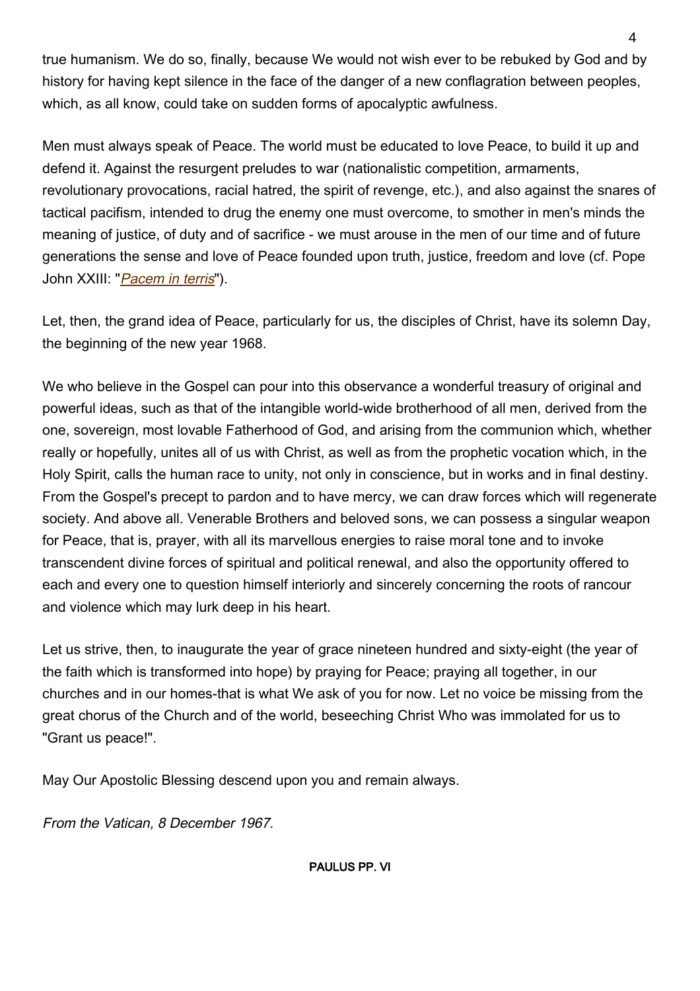true humanism. We do so, finally, because We would not wish ever to be rebuked by God and by history for having kept silence in the face of the danger of a new conflagration between peoples, which, as all know, could take on sudden forms of apocalyptic awfulness.

Men must always speak of Peace. The world must be educated to love Peace, to build it up and defend it. Against the resurgent preludes to war (nationalistic competition, armaments, revolutionary provocations, racial hatred, the spirit of revenge, etc.), and also against the snares of tactical pacifism, intended to drug the enemy one must overcome, to smother in men's minds the meaning of justice, of duty and of sacrifice - we must arouse in the men of our time and of future generations the sense and love of Peace founded upon truth, justice, freedom and love (cf. Pope John XXIII: "[Pacem in terris](http://w2.vatican.va/content/john-xxiii/en/encyclicals/documents/hf_j-xxiii_enc_11041963_pacem.html)").

Let, then, the grand idea of Peace, particularly for us, the disciples of Christ, have its solemn Day, the beginning of the new year 1968.

We who believe in the Gospel can pour into this observance a wonderful treasury of original and powerful ideas, such as that of the intangible world-wide brotherhood of all men, derived from the one, sovereign, most lovable Fatherhood of God, and arising from the communion which, whether really or hopefully, unites all of us with Christ, as well as from the prophetic vocation which, in the Holy Spirit, calls the human race to unity, not only in conscience, but in works and in final destiny. From the Gospel's precept to pardon and to have mercy, we can draw forces which will regenerate society. And above all. Venerable Brothers and beloved sons, we can possess a singular weapon for Peace, that is, prayer, with all its marvellous energies to raise moral tone and to invoke transcendent divine forces of spiritual and political renewal, and also the opportunity offered to each and every one to question himself interiorly and sincerely concerning the roots of rancour and violence which may lurk deep in his heart.

Let us strive, then, to inaugurate the year of grace nineteen hundred and sixty-eight (the year of the faith which is transformed into hope) by praying for Peace; praying all together, in our churches and in our homes-that is what We ask of you for now. Let no voice be missing from the great chorus of the Church and of the world, beseeching Christ Who was immolated for us to "Grant us peace!".

May Our Apostolic Blessing descend upon you and remain always.

From the Vatican, 8 December 1967.

PAULUS PP. VI